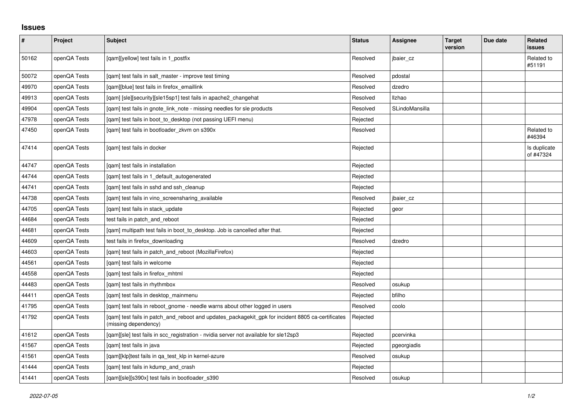## **Issues**

| $\vert$ # | Project      | <b>Subject</b>                                                                                                            | <b>Status</b> | Assignee       | <b>Target</b><br>version | Due date | Related<br><b>issues</b>  |
|-----------|--------------|---------------------------------------------------------------------------------------------------------------------------|---------------|----------------|--------------------------|----------|---------------------------|
| 50162     | openQA Tests | [qam][yellow] test fails in 1_postfix                                                                                     | Resolved      | jbaier_cz      |                          |          | Related to<br>#51191      |
| 50072     | openQA Tests | [qam] test fails in salt_master - improve test timing                                                                     | Resolved      | pdostal        |                          |          |                           |
| 49970     | openQA Tests | [gam][blue] test fails in firefox emaillink                                                                               | Resolved      | dzedro         |                          |          |                           |
| 49913     | openQA Tests | [qam] [sle][security][sle15sp1] test fails in apache2_changehat                                                           | Resolved      | <b>Ilzhao</b>  |                          |          |                           |
| 49904     | openQA Tests | [qam] test fails in gnote_link_note - missing needles for sle products                                                    | Resolved      | SLindoMansilla |                          |          |                           |
| 47978     | openQA Tests | [qam] test fails in boot_to_desktop (not passing UEFI menu)                                                               | Rejected      |                |                          |          |                           |
| 47450     | openQA Tests | [gam] test fails in bootloader zkvm on s390x                                                                              | Resolved      |                |                          |          | Related to<br>#46394      |
| 47414     | openQA Tests | [qam] test fails in docker                                                                                                | Rejected      |                |                          |          | Is duplicate<br>of #47324 |
| 44747     | openQA Tests | [qam] test fails in installation                                                                                          | Rejected      |                |                          |          |                           |
| 44744     | openQA Tests | [gam] test fails in 1 default autogenerated                                                                               | Rejected      |                |                          |          |                           |
| 44741     | openQA Tests | [qam] test fails in sshd and ssh_cleanup                                                                                  | Rejected      |                |                          |          |                           |
| 44738     | openQA Tests | [gam] test fails in vino screensharing available                                                                          | Resolved      | jbaier cz      |                          |          |                           |
| 44705     | openQA Tests | [gam] test fails in stack update                                                                                          | Rejected      | geor           |                          |          |                           |
| 44684     | openQA Tests | test fails in patch and reboot                                                                                            | Rejected      |                |                          |          |                           |
| 44681     | openQA Tests | [gam] multipath test fails in boot_to_desktop. Job is cancelled after that.                                               | Rejected      |                |                          |          |                           |
| 44609     | openQA Tests | test fails in firefox downloading                                                                                         | Resolved      | dzedro         |                          |          |                           |
| 44603     | openQA Tests | [gam] test fails in patch and reboot (MozillaFirefox)                                                                     | Rejected      |                |                          |          |                           |
| 44561     | openQA Tests | [gam] test fails in welcome                                                                                               | Rejected      |                |                          |          |                           |
| 44558     | openQA Tests | [qam] test fails in firefox_mhtml                                                                                         | Rejected      |                |                          |          |                           |
| 44483     | openQA Tests | [gam] test fails in rhythmbox                                                                                             | Resolved      | osukup         |                          |          |                           |
| 44411     | openQA Tests | [qam] test fails in desktop_mainmenu                                                                                      | Rejected      | bfilho         |                          |          |                           |
| 41795     | openQA Tests | [gam] test fails in reboot gnome - needle warns about other logged in users                                               | Resolved      | coolo          |                          |          |                           |
| 41792     | openQA Tests | [qam] test fails in patch_and_reboot and updates_packagekit_gpk for incident 8805 ca-certificates<br>(missing dependency) | Rejected      |                |                          |          |                           |
| 41612     | openQA Tests | [qam][sle] test fails in scc_registration - nvidia server not available for sle12sp3                                      | Rejected      | pcervinka      |                          |          |                           |
| 41567     | openQA Tests | [gam] test fails in java                                                                                                  | Rejected      | pgeorgiadis    |                          |          |                           |
| 41561     | openQA Tests | [qam][klp]test fails in qa_test_klp in kernel-azure                                                                       | Resolved      | osukup         |                          |          |                           |
| 41444     | openQA Tests | [qam] test fails in kdump_and_crash                                                                                       | Rejected      |                |                          |          |                           |
| 41441     | openQA Tests | [qam][sle][s390x] test fails in bootloader_s390                                                                           | Resolved      | osukup         |                          |          |                           |